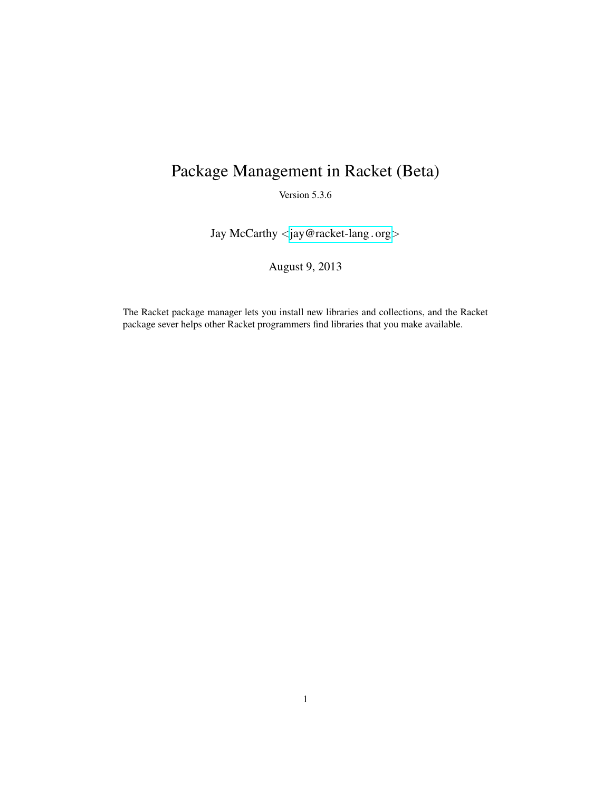# Package Management in Racket (Beta)

Version 5.3.6

Jay McCarthy <[jay@racket-lang](mailto:jay@racket-lang.org).org>

August 9, 2013

The Racket package manager lets you install new libraries and collections, and the Racket package sever helps other Racket programmers find libraries that you make available.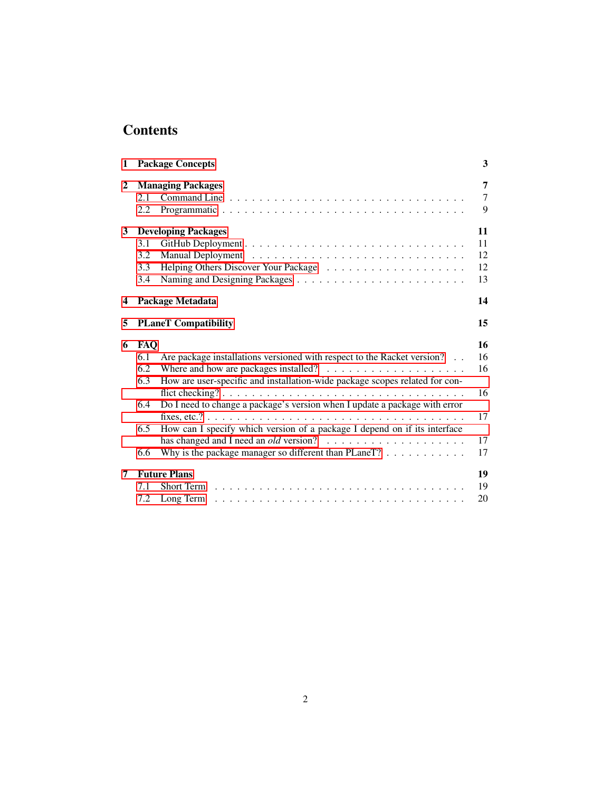## **Contents**

| $\mathbf{1}$ | <b>Package Concepts</b>                                                                                                                                                                                                                                                                                                                                                                                                                                                                                                     | 3                                      |
|--------------|-----------------------------------------------------------------------------------------------------------------------------------------------------------------------------------------------------------------------------------------------------------------------------------------------------------------------------------------------------------------------------------------------------------------------------------------------------------------------------------------------------------------------------|----------------------------------------|
| $\mathbf{2}$ | <b>Managing Packages</b><br>2.1<br>2.2                                                                                                                                                                                                                                                                                                                                                                                                                                                                                      | 7<br>$\overline{7}$<br>9               |
| 3            | <b>Developing Packages</b><br>3.1<br>3.2<br>3.3<br>3.4                                                                                                                                                                                                                                                                                                                                                                                                                                                                      | 11<br>11<br>12<br>12<br>13             |
| 4            | Package Metadata                                                                                                                                                                                                                                                                                                                                                                                                                                                                                                            | 14                                     |
| 5            | <b>PLaneT</b> Compatibility                                                                                                                                                                                                                                                                                                                                                                                                                                                                                                 | 15                                     |
| 6            | <b>FAQ</b><br>Are package installations versioned with respect to the Racket version?<br>6.1<br>Where and how are packages installed? $\ldots$ , , , , ,<br>6.2<br>How are user-specific and installation-wide package scopes related for con-<br>6.3<br>Do I need to change a package's version when I update a package with error<br>6.4<br>How can I specify which version of a package I depend on if its interface<br>$6.5^{\circ}$<br>Why is the package manager so different than PLaneT? $\dots \dots \dots$<br>6.6 | 16<br>16<br>16<br>16<br>17<br>17<br>17 |
| 7            | <b>Future Plans</b><br>7.1<br>7.2<br>Long Term                                                                                                                                                                                                                                                                                                                                                                                                                                                                              | 19<br>19<br>20                         |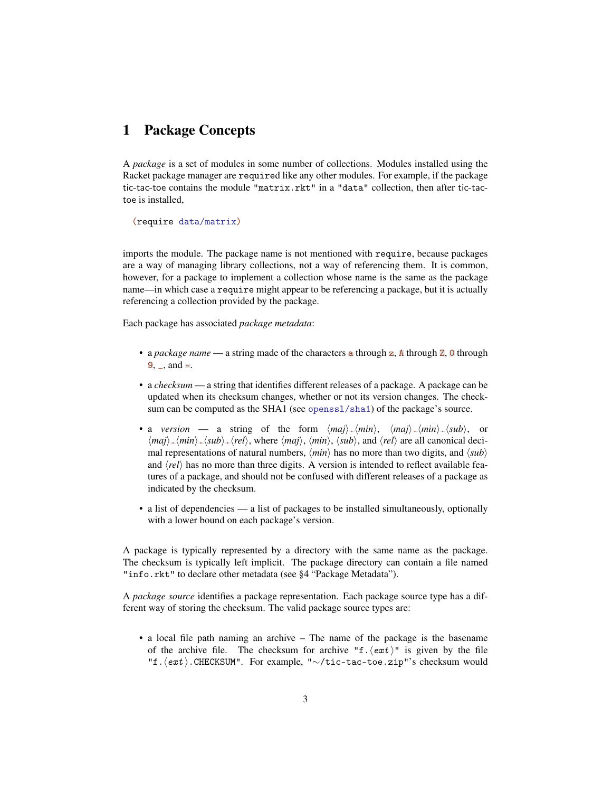### <span id="page-2-0"></span>1 Package Concepts

A *package* is a set of modules in some number of collections. Modules installed using the Racket package manager are required like any other modules. For example, if the package tic-tac-toe contains the module "matrix.rkt" in a "data" collection, then after tic-tactoe is installed,

(require data/matrix)

imports the module. The package name is not mentioned with require, because packages are a way of managing library collections, not a way of referencing them. It is common, however, for a package to implement a collection whose name is the same as the package name—in which case a require might appear to be referencing a package, but it is actually referencing a collection provided by the package.

Each package has associated *package metadata*:

- a *package name* a string made of the characters a through z, A through Z, 0 through  $9, \_$ , and  $=$ .
- a *checksum* a string that identifies different releases of a package. A package can be updated when its checksum changes, whether or not its version changes. The checksum can be computed as the SHA1 (see openssl/sha1) of the package's source.
- a *version* a string of the form  $\langle maj \rangle$ .  $\langle min \rangle$ ,  $\langle min \rangle$ .  $\langle sub \rangle$ , or  $\langle maj \rangle$ <sub>-</sub> $\langle min \rangle$ <sub>-</sub> $\langle sub \rangle$ <sub>-</sub> $\langle rel \rangle$ , where  $\langle maj \rangle$ ,  $\langle min \rangle$ ,  $\langle sub \rangle$ , and  $\langle rel \rangle$  are all canonical decimal representations of natural numbers,  $\langle min \rangle$  has no more than two digits, and  $\langle sub \rangle$ and  $\langle rel \rangle$  has no more than three digits. A version is intended to reflect available features of a package, and should not be confused with different releases of a package as indicated by the checksum.
- a list of dependencies a list of packages to be installed simultaneously, optionally with a lower bound on each package's version.

A package is typically represented by a directory with the same name as the package. The checksum is typically left implicit. The package directory can contain a file named "info.rkt" to declare other metadata (see §4 "Package Metadata").

A *package source* identifies a package representation. Each package source type has a different way of storing the checksum. The valid package source types are:

• a local file path naming an archive – The name of the package is the basename of the archive file. The checksum for archive "f.  $\langle ext \rangle$ " is given by the file "f.\ext\cHECKSUM". For example, "∼/tic-tac-toe.zip"'s checksum would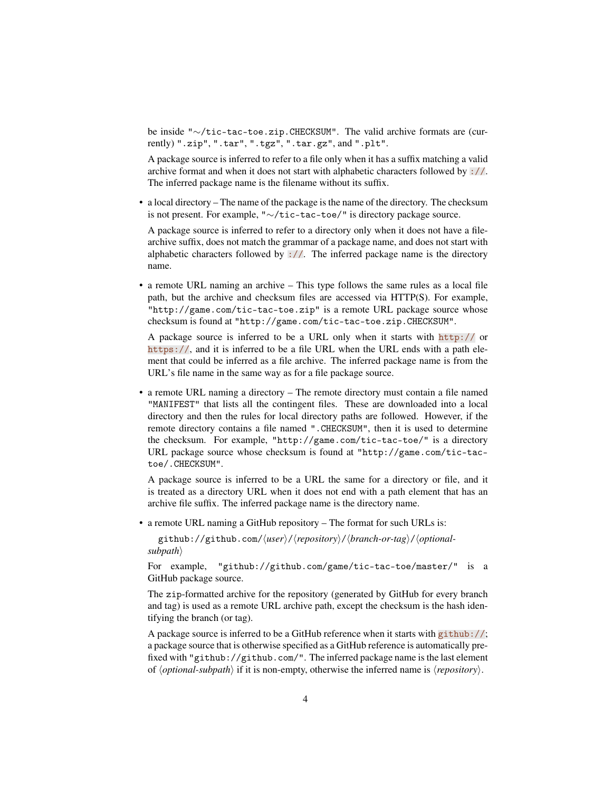be inside "∼/tic-tac-toe.zip.CHECKSUM". The valid archive formats are (currently) ".zip", ".tar", ".tgz", ".tar.gz", and ".plt".

A package source is inferred to refer to a file only when it has a suffix matching a valid archive format and when it does not start with alphabetic characters followed by ://. The inferred package name is the filename without its suffix.

• a local directory – The name of the package is the name of the directory. The checksum is not present. For example, "∼/tic-tac-toe/" is directory package source.

A package source is inferred to refer to a directory only when it does not have a filearchive suffix, does not match the grammar of a package name, and does not start with alphabetic characters followed by  $\frac{1}{2}$ . The inferred package name is the directory name.

• a remote URL naming an archive – This type follows the same rules as a local file path, but the archive and checksum files are accessed via HTTP(S). For example, "http://game.com/tic-tac-toe.zip" is a remote URL package source whose checksum is found at "http://game.com/tic-tac-toe.zip.CHECKSUM".

A package source is inferred to be a URL only when it starts with http:// or https://, and it is inferred to be a file URL when the URL ends with a path element that could be inferred as a file archive. The inferred package name is from the URL's file name in the same way as for a file package source.

• a remote URL naming a directory – The remote directory must contain a file named "MANIFEST" that lists all the contingent files. These are downloaded into a local directory and then the rules for local directory paths are followed. However, if the remote directory contains a file named ".CHECKSUM", then it is used to determine the checksum. For example, "http://game.com/tic-tac-toe/" is a directory URL package source whose checksum is found at "http://game.com/tic-tactoe/.CHECKSUM".

A package source is inferred to be a URL the same for a directory or file, and it is treated as a directory URL when it does not end with a path element that has an archive file suffix. The inferred package name is the directory name.

• a remote URL naming a GitHub repository – The format for such URLs is:

github://github.com/ $\langle user \rangle$ / $\langle repository \rangle$ / $\langle branch-or-tag \rangle$ / $\langle optional-Pb$ *subpath* 

For example, "github://github.com/game/tic-tac-toe/master/" is a GitHub package source.

The zip-formatted archive for the repository (generated by GitHub for every branch and tag) is used as a remote URL archive path, except the checksum is the hash identifying the branch (or tag).

A package source is inferred to be a GitHub reference when it starts with github://; a package source that is otherwise specified as a GitHub reference is automatically prefixed with "github://github.com/". The inferred package name is the last element of  $\langle$ *optional-subpath* $\rangle$  if it is non-empty, otherwise the inferred name is  $\langle$ *repository* $\rangle$ .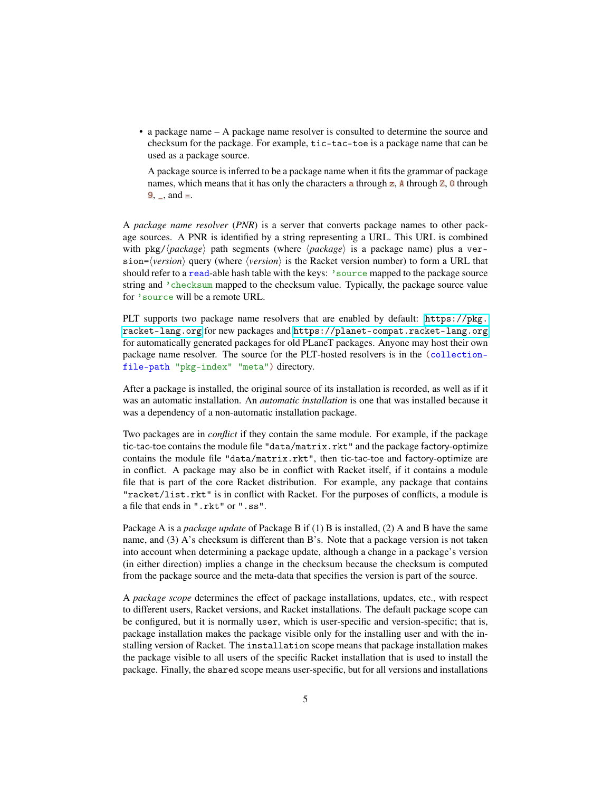• a package name – A package name resolver is consulted to determine the source and checksum for the package. For example, tic-tac-toe is a package name that can be used as a package source.

A package source is inferred to be a package name when it fits the grammar of package names, which means that it has only the characters a through  $z$ ,  $\Delta$  through  $\overline{z}$ ,  $\overline{0}$  through  $9, \_$ , and  $-$ .

A *package name resolver* (*PNR*) is a server that converts package names to other package sources. A PNR is identified by a string representing a URL. This URL is combined with  $pkg//package$  path segments (where  $\langle package \rangle$  is a package name) plus a ver $sion = \langle version \rangle$  query (where  $\langle version \rangle$  is the Racket version number) to form a URL that should refer to a read-able hash table with the keys: 'source mapped to the package source string and 'checksum mapped to the checksum value. Typically, the package source value for 'source will be a remote URL.

PLT supports two package name resolvers that are enabled by default: [https://pkg.](https://pkg.racket-lang.org) [racket-lang.org](https://pkg.racket-lang.org) for new packages and <https://planet-compat.racket-lang.org> for automatically generated packages for old PLaneT packages. Anyone may host their own package name resolver. The source for the PLT-hosted resolvers is in the (collectionfile-path "pkg-index" "meta") directory.

After a package is installed, the original source of its installation is recorded, as well as if it was an automatic installation. An *automatic installation* is one that was installed because it was a dependency of a non-automatic installation package.

Two packages are in *conflict* if they contain the same module. For example, if the package tic-tac-toe contains the module file "data/matrix.rkt" and the package factory-optimize contains the module file "data/matrix.rkt", then tic-tac-toe and factory-optimize are in conflict. A package may also be in conflict with Racket itself, if it contains a module file that is part of the core Racket distribution. For example, any package that contains "racket/list.rkt" is in conflict with Racket. For the purposes of conflicts, a module is a file that ends in ".rkt" or ".ss".

Package A is a *package update* of Package B if (1) B is installed, (2) A and B have the same name, and (3) A's checksum is different than B's. Note that a package version is not taken into account when determining a package update, although a change in a package's version (in either direction) implies a change in the checksum because the checksum is computed from the package source and the meta-data that specifies the version is part of the source.

A *package scope* determines the effect of package installations, updates, etc., with respect to different users, Racket versions, and Racket installations. The default package scope can be configured, but it is normally user, which is user-specific and version-specific; that is, package installation makes the package visible only for the installing user and with the installing version of Racket. The installation scope means that package installation makes the package visible to all users of the specific Racket installation that is used to install the package. Finally, the shared scope means user-specific, but for all versions and installations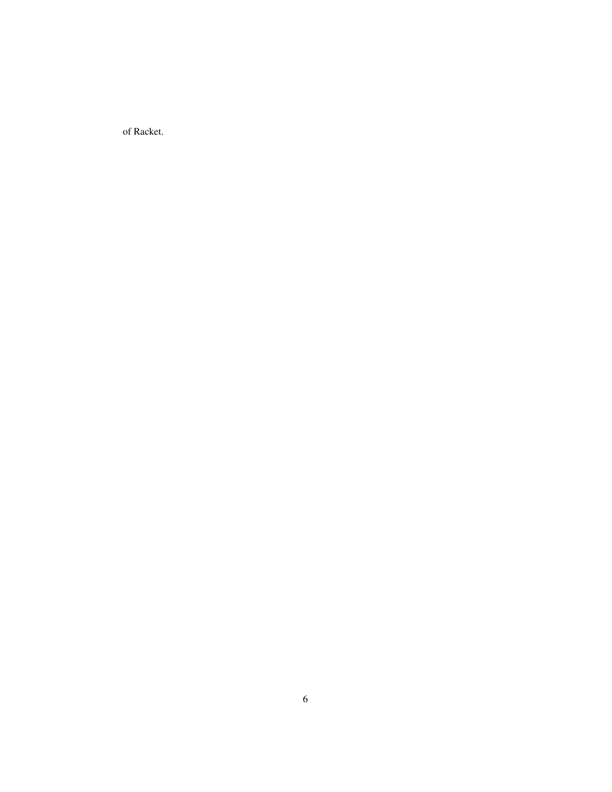of Racket.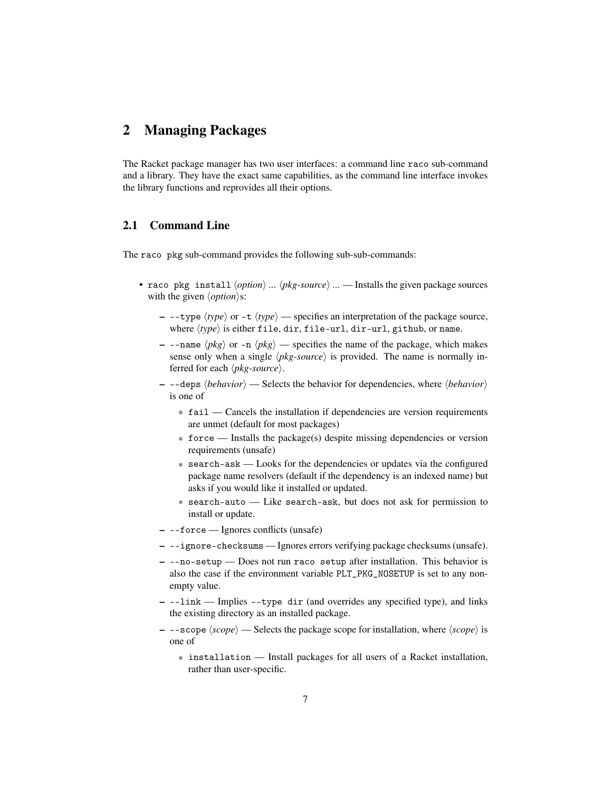### <span id="page-6-0"></span>2 Managing Packages

The Racket package manager has two user interfaces: a command line raco sub-command and a library. They have the exact same capabilities, as the command line interface invokes the library functions and reprovides all their options.

### <span id="page-6-1"></span>2.1 Command Line

The raco pkg sub-command provides the following sub-sub-commands:

- raco pkg install  $\langle option \rangle$  ...  $\langle pkg-source \rangle$  ... Installs the given package sources with the given  $\langle option \rangle$ s:
	- $-$  --type  $\langle type \rangle$  or -t  $\langle type \rangle$  specifies an interpretation of the package source, where  $\langle type \rangle$  is either file, dir, file-url, dir-url, github, or name.
	- $-$  --name  $\langle pkg \rangle$  or -n  $\langle pkg \rangle$  specifies the name of the package, which makes sense only when a single  $\langle pkg-source \rangle$  is provided. The name is normally inferred for each  $\langle pkg-source \rangle$ .
	- $-$  --deps  $\langle behavior \rangle$  Selects the behavior for dependencies, where  $\langle behavior \rangle$ is one of
		- \* fail Cancels the installation if dependencies are version requirements are unmet (default for most packages)
		- \* force Installs the package(s) despite missing dependencies or version requirements (unsafe)
		- \* search-ask Looks for the dependencies or updates via the configured package name resolvers (default if the dependency is an indexed name) but asks if you would like it installed or updated.
		- \* search-auto Like search-ask, but does not ask for permission to install or update.
	- --force Ignores conflicts (unsafe)
	- --ignore-checksums Ignores errors verifying package checksums (unsafe).
	- --no-setup Does not run raco setup after installation. This behavior is also the case if the environment variable PLT\_PKG\_NOSETUP is set to any nonempty value.
	- --link Implies --type dir (and overrides any specified type), and links the existing directory as an installed package.
	- $-$  --scope  $\langle scope \rangle$  Selects the package scope for installation, where  $\langle scope \rangle$  is one of
		- \* installation Install packages for all users of a Racket installation, rather than user-specific.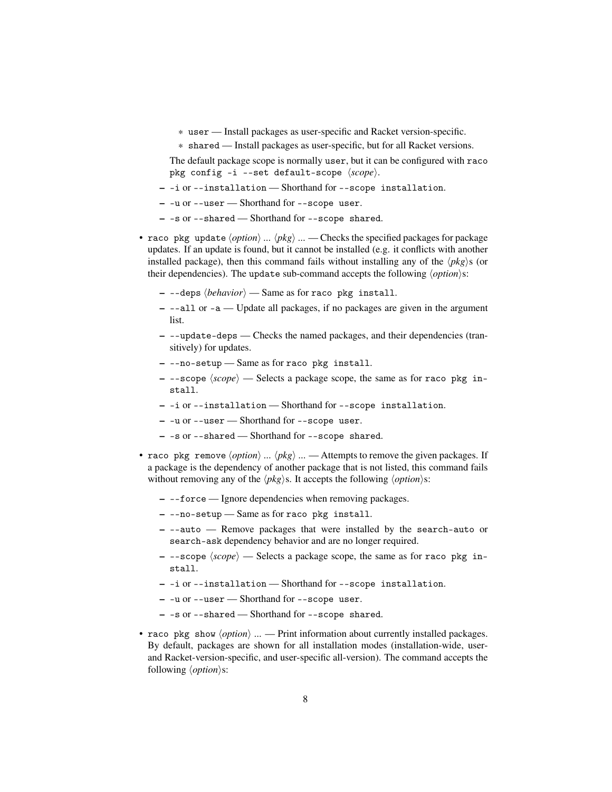- \* user Install packages as user-specific and Racket version-specific.
- \* shared Install packages as user-specific, but for all Racket versions.

The default package scope is normally user, but it can be configured with raco pkg config -i --set default-scope  $\langle scope \rangle$ .

- -i or --installation Shorthand for --scope installation.
- -u or --user Shorthand for --scope user.
- -s or --shared Shorthand for --scope shared.
- raco pkg update  $\langle option \rangle$  ...  $\langle pkg \rangle$  ... Checks the specified packages for package updates. If an update is found, but it cannot be installed (e.g. it conflicts with another installed package), then this command fails without installing any of the  $\langle pkg \rangle$ s (or their dependencies). The update sub-command accepts the following  $\langle option \rangle$ s:
	- $-$  --deps  $\langle behavior \rangle$  Same as for raco pkg install.
	- --all or -a Update all packages, if no packages are given in the argument list.
	- --update-deps Checks the named packages, and their dependencies (transitively) for updates.
	- --no-setup Same as for raco pkg install.
	- $-$  --scope  $\langle scope \rangle$  Selects a package scope, the same as for raco pkg install.
	- -i or --installation Shorthand for --scope installation.
	- -u or --user Shorthand for --scope user.
	- -s or --shared Shorthand for --scope shared.
- raco pkg remove  $\langle option \rangle$  ...  $\langle pkg \rangle$  ... Attempts to remove the given packages. If a package is the dependency of another package that is not listed, this command fails without removing any of the  $\langle pkg \rangle$ s. It accepts the following  $\langle option \rangle$ s:
	- --force Ignore dependencies when removing packages.
	- --no-setup Same as for raco pkg install.
	- --auto Remove packages that were installed by the search-auto or search-ask dependency behavior and are no longer required.
	- $-$  --scope  $\langle scope \rangle$  Selects a package scope, the same as for raco pkg install.
	- -i or --installation Shorthand for --scope installation.
	- -u or --user Shorthand for --scope user.
	- -s or --shared Shorthand for --scope shared.
- raco pkg show  $\langle option \rangle$  ... Print information about currently installed packages. By default, packages are shown for all installation modes (installation-wide, userand Racket-version-specific, and user-specific all-version). The command accepts the following  $\langle option \rangle$ s: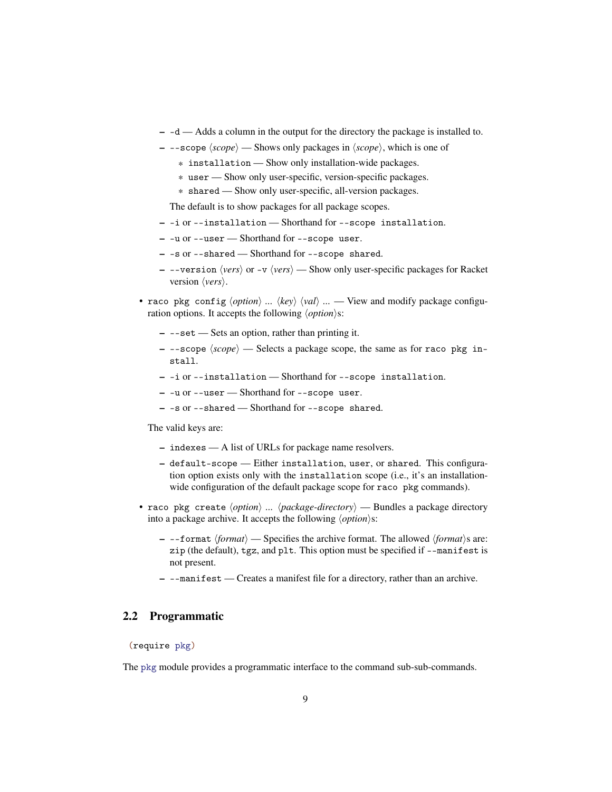- -d Adds a column in the output for the directory the package is installed to.
- $-$  --scope  $\langle scope \rangle$  Shows only packages in  $\langle scope \rangle$ , which is one of
	- \* installation Show only installation-wide packages.
	- \* user Show only user-specific, version-specific packages.
	- \* shared Show only user-specific, all-version packages.

The default is to show packages for all package scopes.

- -i or --installation Shorthand for --scope installation.
- -u or --user Shorthand for --scope user.
- -s or --shared Shorthand for --scope shared.
- --version  $\langle vers \rangle$  or -v  $\langle vers \rangle$  Show only user-specific packages for Racket version  $\langle vers \rangle$ .
- raco pkg config  $\langle option \rangle$  ...  $\langle key \rangle$   $\langle val \rangle$  ... View and modify package configuration options. It accepts the following  $\langle option \rangle$ s:
	- --set Sets an option, rather than printing it.
	- $-$  --scope  $\langle scope \rangle$  Selects a package scope, the same as for raco pkg install.
	- -i or --installation Shorthand for --scope installation.
	- -u or --user Shorthand for --scope user.
	- -s or --shared Shorthand for --scope shared.

The valid keys are:

- indexes A list of URLs for package name resolvers.
- default-scope Either installation, user, or shared. This configuration option exists only with the installation scope (i.e., it's an installationwide configuration of the default package scope for raco pkg commands).
- raco pkg create  $\langle option \rangle$  ...  $\langle package\{-directory \rangle$  Bundles a package directory into a package archive. It accepts the following  $\langle option \rangle$ s:
	- $-$  --format  $\langle format \rangle$  Specifies the archive format. The allowed  $\langle format \rangle$ s are: zip (the default), tgz, and plt. This option must be specified if --manifest is not present.
	- --manifest Creates a manifest file for a directory, rather than an archive.

### <span id="page-8-0"></span>2.2 Programmatic

(require pkg)

The pkg module provides a programmatic interface to the command sub-sub-commands.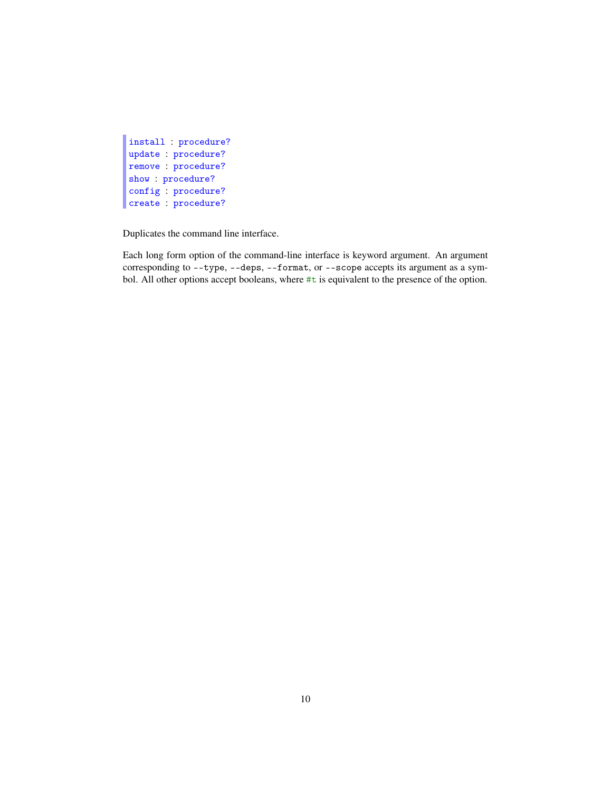```
install : procedure?
update : procedure?
remove : procedure?
show : procedure?
config : procedure?
create : procedure?
```
Duplicates the command line interface.

Each long form option of the command-line interface is keyword argument. An argument corresponding to --type, --deps, --format, or --scope accepts its argument as a symbol. All other options accept booleans, where #t is equivalent to the presence of the option.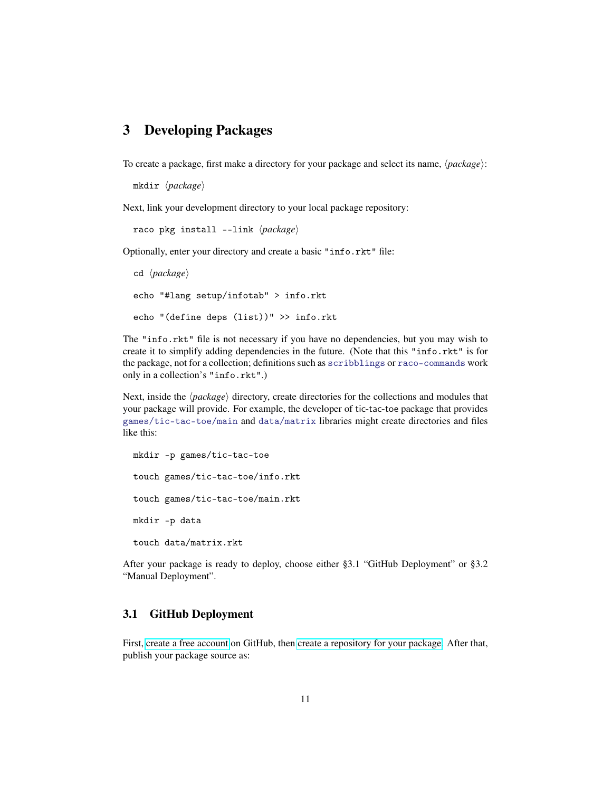### <span id="page-10-0"></span>3 Developing Packages

To create a package, first make a directory for your package and select its name,  $\langle package \rangle$ :

```
mkdir (package)
```
Next, link your development directory to your local package repository:

raco pkg install --link  $\langle package \rangle$ 

Optionally, enter your directory and create a basic "info.rkt" file:

cd  $\langle package \rangle$ echo "#lang setup/infotab" > info.rkt echo "(define deps (list))" >> info.rkt

The "info.rkt" file is not necessary if you have no dependencies, but you may wish to create it to simplify adding dependencies in the future. (Note that this "info.rkt" is for the package, not for a collection; definitions such as scribblings or raco-commands work only in a collection's "info.rkt".)

Next, inside the  $\langle package \rangle$  directory, create directories for the collections and modules that your package will provide. For example, the developer of tic-tac-toe package that provides games/tic-tac-toe/main and data/matrix libraries might create directories and files like this:

```
mkdir -p games/tic-tac-toe
touch games/tic-tac-toe/info.rkt
touch games/tic-tac-toe/main.rkt
mkdir -p data
touch data/matrix.rkt
```
After your package is ready to deploy, choose either §3.1 "GitHub Deployment" or §3.2 "Manual Deployment".

#### <span id="page-10-1"></span>3.1 GitHub Deployment

First, [create a free account](https://github.com/signup/free) on GitHub, then [create a repository for your package.](https://help.github.com/articles/create-a-repo) After that, publish your package source as: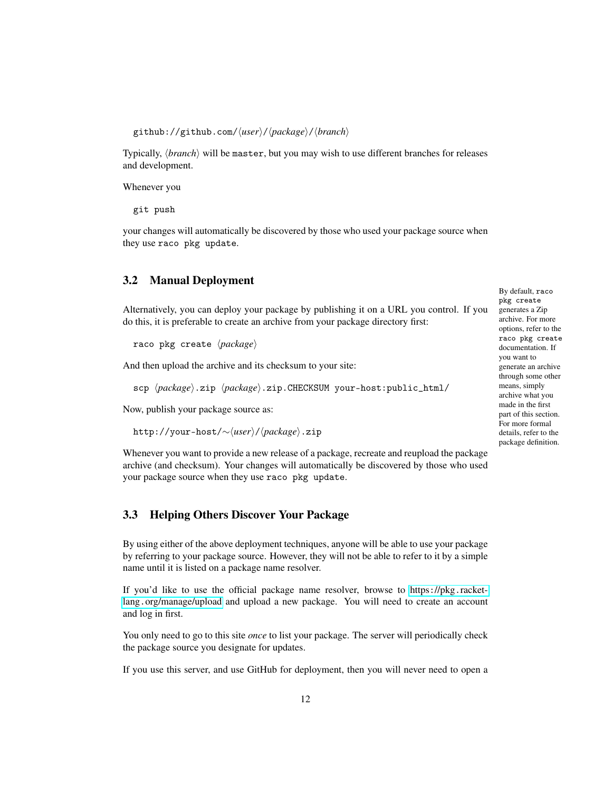github://github.com/ $\langle user \rangle$ / $\langle package \rangle$ / $\langle branch \rangle$ 

Typically, *(branch)* will be master, but you may wish to use different branches for releases and development.

Whenever you

git push

your changes will automatically be discovered by those who used your package source when they use raco pkg update.

#### <span id="page-11-0"></span>3.2 Manual Deployment

Alternatively, you can deploy your package by publishing it on a URL you control. If you do this, it is preferable to create an archive from your package directory first:

raco pkg create  $\langle package \rangle$ 

And then upload the archive and its checksum to your site:

scp  $\langle package \rangle$ .zip  $\langle package \rangle$ .zip.CHECKSUM your-host:public\_html/

Now, publish your package source as:

http://your-host/∼ $\langle user \rangle$ /*\package*}.zip

Whenever you want to provide a new release of a package, recreate and reupload the package archive (and checksum). Your changes will automatically be discovered by those who used your package source when they use raco pkg update.

#### <span id="page-11-1"></span>3.3 Helping Others Discover Your Package

By using either of the above deployment techniques, anyone will be able to use your package by referring to your package source. However, they will not be able to refer to it by a simple name until it is listed on a package name resolver.

If you'd like to use the official package name resolver, browse to https://pkg.[racket](https://pkg.racket-lang.org/manage/upload)lang.[org/manage/upload](https://pkg.racket-lang.org/manage/upload) and upload a new package. You will need to create an account and log in first.

You only need to go to this site *once* to list your package. The server will periodically check the package source you designate for updates.

If you use this server, and use GitHub for deployment, then you will never need to open a

By default, raco pkg create generates a Zip archive. For more options, refer to the raco pkg create documentation. If you want to generate an archive through some other means, simply archive what you made in the first part of this section. For more formal details, refer to the package definition.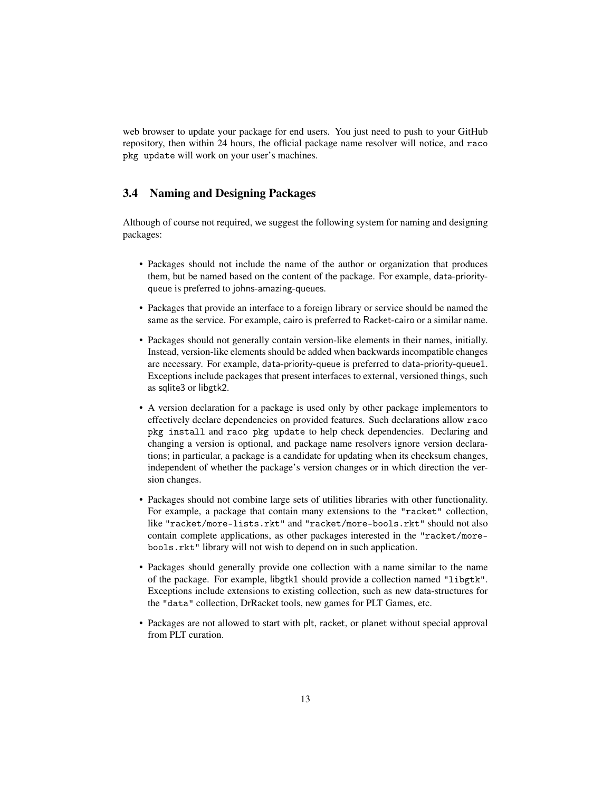web browser to update your package for end users. You just need to push to your GitHub repository, then within 24 hours, the official package name resolver will notice, and raco pkg update will work on your user's machines.

#### <span id="page-12-0"></span>3.4 Naming and Designing Packages

Although of course not required, we suggest the following system for naming and designing packages:

- Packages should not include the name of the author or organization that produces them, but be named based on the content of the package. For example, data-priorityqueue is preferred to johns-amazing-queues.
- Packages that provide an interface to a foreign library or service should be named the same as the service. For example, cairo is preferred to Racket-cairo or a similar name.
- Packages should not generally contain version-like elements in their names, initially. Instead, version-like elements should be added when backwards incompatible changes are necessary. For example, data-priority-queue is preferred to data-priority-queue1. Exceptions include packages that present interfaces to external, versioned things, such as sqlite3 or libgtk2.
- A version declaration for a package is used only by other package implementors to effectively declare dependencies on provided features. Such declarations allow raco pkg install and raco pkg update to help check dependencies. Declaring and changing a version is optional, and package name resolvers ignore version declarations; in particular, a package is a candidate for updating when its checksum changes, independent of whether the package's version changes or in which direction the version changes.
- Packages should not combine large sets of utilities libraries with other functionality. For example, a package that contain many extensions to the "racket" collection, like "racket/more-lists.rkt" and "racket/more-bools.rkt" should not also contain complete applications, as other packages interested in the "racket/morebools.rkt" library will not wish to depend on in such application.
- Packages should generally provide one collection with a name similar to the name of the package. For example, libgtk1 should provide a collection named "libgtk". Exceptions include extensions to existing collection, such as new data-structures for the "data" collection, DrRacket tools, new games for PLT Games, etc.
- Packages are not allowed to start with plt, racket, or planet without special approval from PLT curation.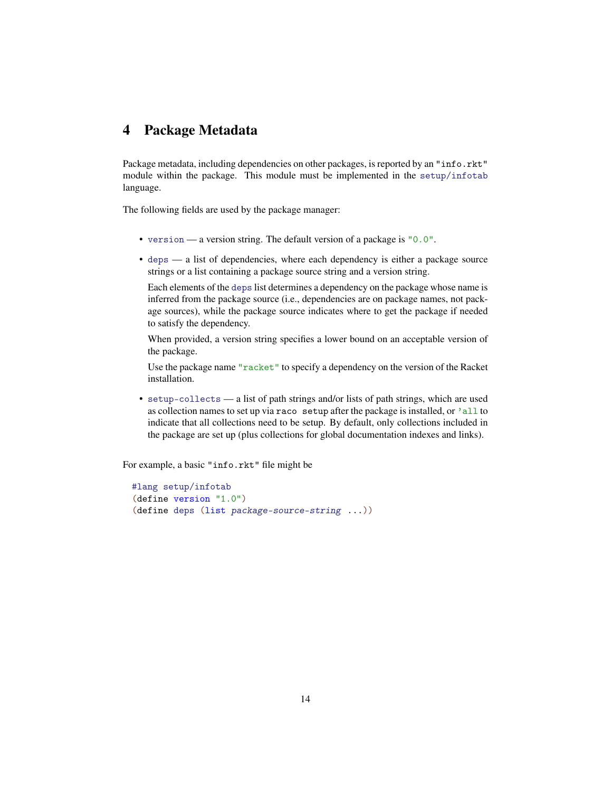### <span id="page-13-0"></span>4 Package Metadata

Package metadata, including dependencies on other packages, is reported by an "info.rkt" module within the package. This module must be implemented in the setup/infotab language.

The following fields are used by the package manager:

- version a version string. The default version of a package is "0.0".
- deps a list of dependencies, where each dependency is either a package source strings or a list containing a package source string and a version string.

Each elements of the deps list determines a dependency on the package whose name is inferred from the package source (i.e., dependencies are on package names, not package sources), while the package source indicates where to get the package if needed to satisfy the dependency.

When provided, a version string specifies a lower bound on an acceptable version of the package.

Use the package name "racket" to specify a dependency on the version of the Racket installation.

• setup-collects — a list of path strings and/or lists of path strings, which are used as collection names to set up via raco setup after the package is installed, or 'all to indicate that all collections need to be setup. By default, only collections included in the package are set up (plus collections for global documentation indexes and links).

For example, a basic "info.rkt" file might be

```
#lang setup/infotab
(define version "1.0")
(define deps (list package-source-string ...))
```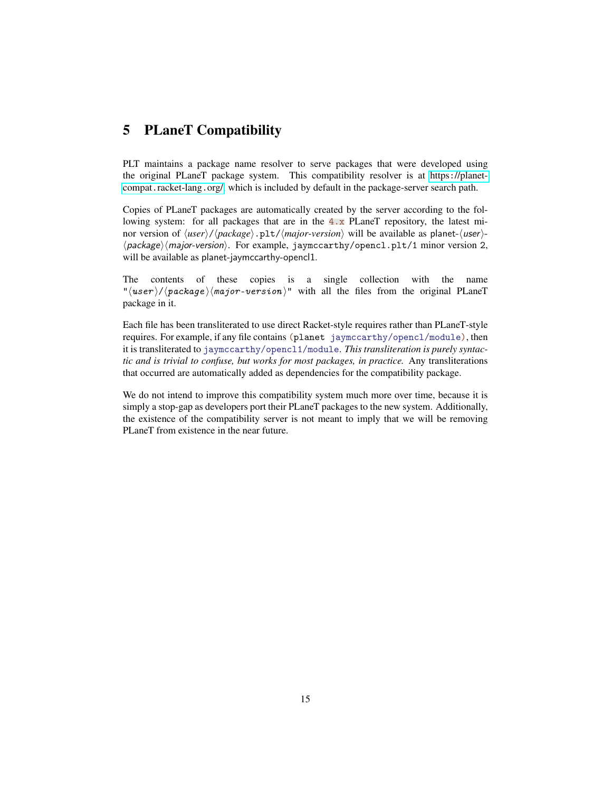### <span id="page-14-0"></span>5 PLaneT Compatibility

PLT maintains a package name resolver to serve packages that were developed using the original PLaneT package system. This compatibility resolver is at https:[//planet](https://planet-compat.racket-lang.org/)compat.[racket-lang](https://planet-compat.racket-lang.org/).org/, which is included by default in the package-server search path.

Copies of PLaneT packages are automatically created by the server according to the following system: for all packages that are in the  $4 \cdot x$  PLaneT repository, the latest minor version of  $\langle user \rangle / \langle package \rangle .pt / \langle major-version \rangle$  will be available as planet- $\langle user \rangle$ - $\langle$ package $\rangle$ (major-version). For example, jaymccarthy/opencl.plt/1 minor version 2, will be available as planet-jaymccarthy-opencl1.

The contents of these copies is a single collection with the name " $\langle user \rangle / \langle package \rangle$  /major-version)" with all the files from the original PLaneT package in it.

Each file has been transliterated to use direct Racket-style requires rather than PLaneT-style requires. For example, if any file contains (planet jaymccarthy/opencl/module), then it is transliterated to jaymccarthy/opencl1/module. *This transliteration is purely syntactic and is trivial to confuse, but works for most packages, in practice.* Any transliterations that occurred are automatically added as dependencies for the compatibility package.

We do not intend to improve this compatibility system much more over time, because it is simply a stop-gap as developers port their PLaneT packages to the new system. Additionally, the existence of the compatibility server is not meant to imply that we will be removing PLaneT from existence in the near future.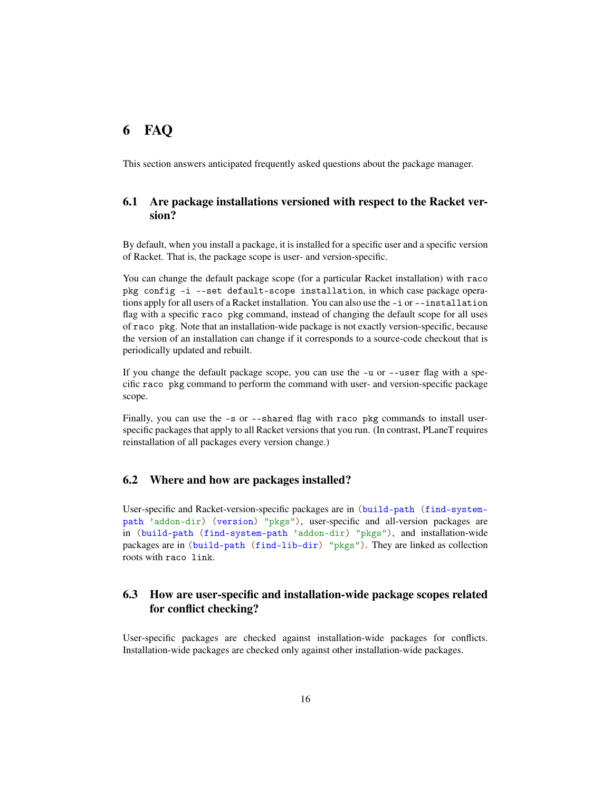### <span id="page-15-0"></span>6 FAQ

This section answers anticipated frequently asked questions about the package manager.

### <span id="page-15-1"></span>6.1 Are package installations versioned with respect to the Racket version?

By default, when you install a package, it is installed for a specific user and a specific version of Racket. That is, the package scope is user- and version-specific.

You can change the default package scope (for a particular Racket installation) with raco pkg config -i --set default-scope installation, in which case package operations apply for all users of a Racket installation. You can also use the -i or --installation flag with a specific raco pkg command, instead of changing the default scope for all uses of raco pkg. Note that an installation-wide package is not exactly version-specific, because the version of an installation can change if it corresponds to a source-code checkout that is periodically updated and rebuilt.

If you change the default package scope, you can use the -u or --user flag with a specific raco pkg command to perform the command with user- and version-specific package scope.

Finally, you can use the  $-s$  or  $-s$  hard flag with raco pkg commands to install userspecific packages that apply to all Racket versions that you run. (In contrast, PLaneT requires reinstallation of all packages every version change.)

#### <span id="page-15-2"></span>6.2 Where and how are packages installed?

User-specific and Racket-version-specific packages are in (build-path (find-systempath 'addon-dir) (version) "pkgs"), user-specific and all-version packages are in (build-path (find-system-path 'addon-dir) "pkgs"), and installation-wide packages are in (build-path (find-lib-dir) "pkgs"). They are linked as collection roots with raco link.

### <span id="page-15-3"></span>6.3 How are user-specific and installation-wide package scopes related for conflict checking?

User-specific packages are checked against installation-wide packages for conflicts. Installation-wide packages are checked only against other installation-wide packages.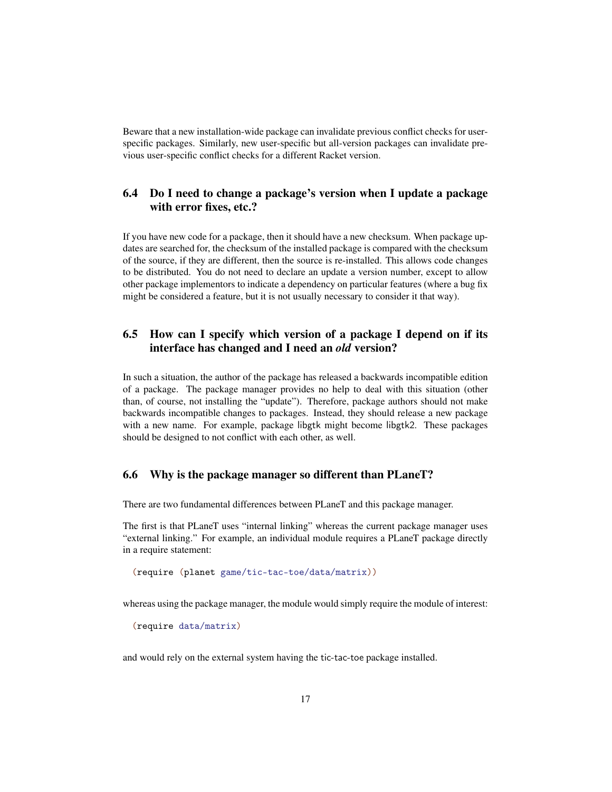Beware that a new installation-wide package can invalidate previous conflict checks for userspecific packages. Similarly, new user-specific but all-version packages can invalidate previous user-specific conflict checks for a different Racket version.

### <span id="page-16-0"></span>6.4 Do I need to change a package's version when I update a package with error fixes, etc.?

If you have new code for a package, then it should have a new checksum. When package updates are searched for, the checksum of the installed package is compared with the checksum of the source, if they are different, then the source is re-installed. This allows code changes to be distributed. You do not need to declare an update a version number, except to allow other package implementors to indicate a dependency on particular features (where a bug fix might be considered a feature, but it is not usually necessary to consider it that way).

### <span id="page-16-1"></span>6.5 How can I specify which version of a package I depend on if its interface has changed and I need an *old* version?

In such a situation, the author of the package has released a backwards incompatible edition of a package. The package manager provides no help to deal with this situation (other than, of course, not installing the "update"). Therefore, package authors should not make backwards incompatible changes to packages. Instead, they should release a new package with a new name. For example, package libgtk might become libgtk2. These packages should be designed to not conflict with each other, as well.

#### <span id="page-16-2"></span>6.6 Why is the package manager so different than PLaneT?

There are two fundamental differences between PLaneT and this package manager.

The first is that PLaneT uses "internal linking" whereas the current package manager uses "external linking." For example, an individual module requires a PLaneT package directly in a require statement:

(require (planet game/tic-tac-toe/data/matrix))

whereas using the package manager, the module would simply require the module of interest:

(require data/matrix)

and would rely on the external system having the tic-tac-toe package installed.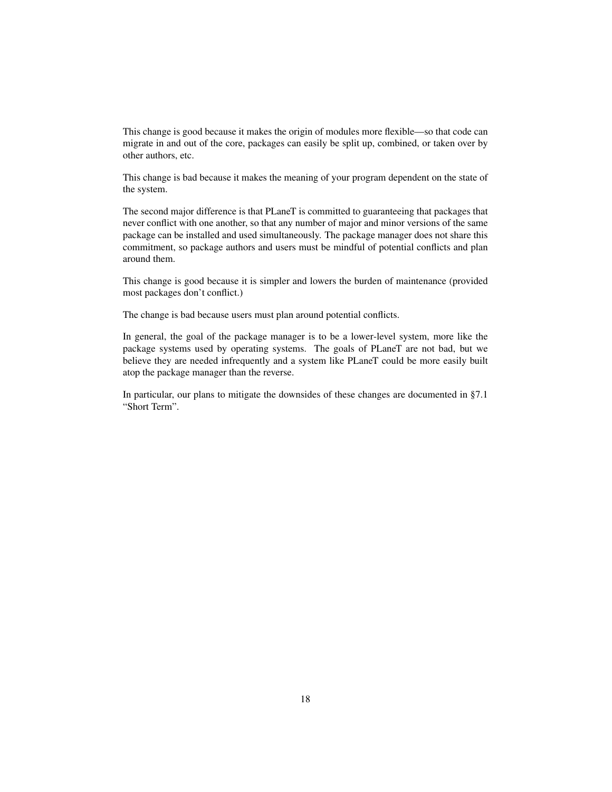This change is good because it makes the origin of modules more flexible—so that code can migrate in and out of the core, packages can easily be split up, combined, or taken over by other authors, etc.

This change is bad because it makes the meaning of your program dependent on the state of the system.

The second major difference is that PLaneT is committed to guaranteeing that packages that never conflict with one another, so that any number of major and minor versions of the same package can be installed and used simultaneously. The package manager does not share this commitment, so package authors and users must be mindful of potential conflicts and plan around them.

This change is good because it is simpler and lowers the burden of maintenance (provided most packages don't conflict.)

The change is bad because users must plan around potential conflicts.

In general, the goal of the package manager is to be a lower-level system, more like the package systems used by operating systems. The goals of PLaneT are not bad, but we believe they are needed infrequently and a system like PLaneT could be more easily built atop the package manager than the reverse.

In particular, our plans to mitigate the downsides of these changes are documented in §7.1 "Short Term".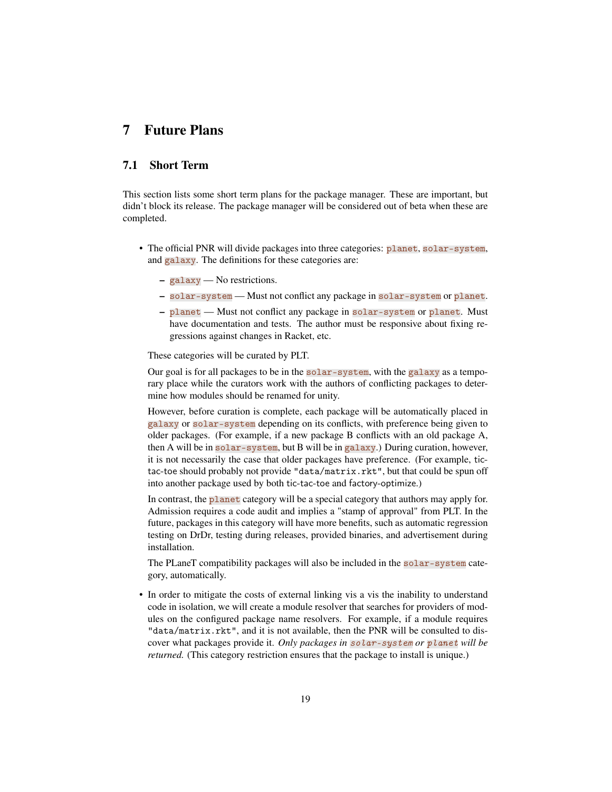### <span id="page-18-0"></span>7 Future Plans

### <span id="page-18-1"></span>7.1 Short Term

This section lists some short term plans for the package manager. These are important, but didn't block its release. The package manager will be considered out of beta when these are completed.

- The official PNR will divide packages into three categories: planet, solar-system, and galaxy. The definitions for these categories are:
	- galaxy No restrictions.
	- solar-system Must not conflict any package in solar-system or planet.
	- planet Must not conflict any package in solar-system or planet. Must have documentation and tests. The author must be responsive about fixing regressions against changes in Racket, etc.

These categories will be curated by PLT.

Our goal is for all packages to be in the solar-system, with the galaxy as a temporary place while the curators work with the authors of conflicting packages to determine how modules should be renamed for unity.

However, before curation is complete, each package will be automatically placed in galaxy or solar-system depending on its conflicts, with preference being given to older packages. (For example, if a new package B conflicts with an old package A, then A will be in solar-system, but B will be in galaxy.) During curation, however, it is not necessarily the case that older packages have preference. (For example, tictac-toe should probably not provide "data/matrix.rkt", but that could be spun off into another package used by both tic-tac-toe and factory-optimize.)

In contrast, the **planet** category will be a special category that authors may apply for. Admission requires a code audit and implies a "stamp of approval" from PLT. In the future, packages in this category will have more benefits, such as automatic regression testing on DrDr, testing during releases, provided binaries, and advertisement during installation.

The PLaneT compatibility packages will also be included in the solar-system category, automatically.

• In order to mitigate the costs of external linking vis a vis the inability to understand code in isolation, we will create a module resolver that searches for providers of modules on the configured package name resolvers. For example, if a module requires "data/matrix.rkt", and it is not available, then the PNR will be consulted to discover what packages provide it. *Only packages in* solar-system *or* planet *will be returned.* (This category restriction ensures that the package to install is unique.)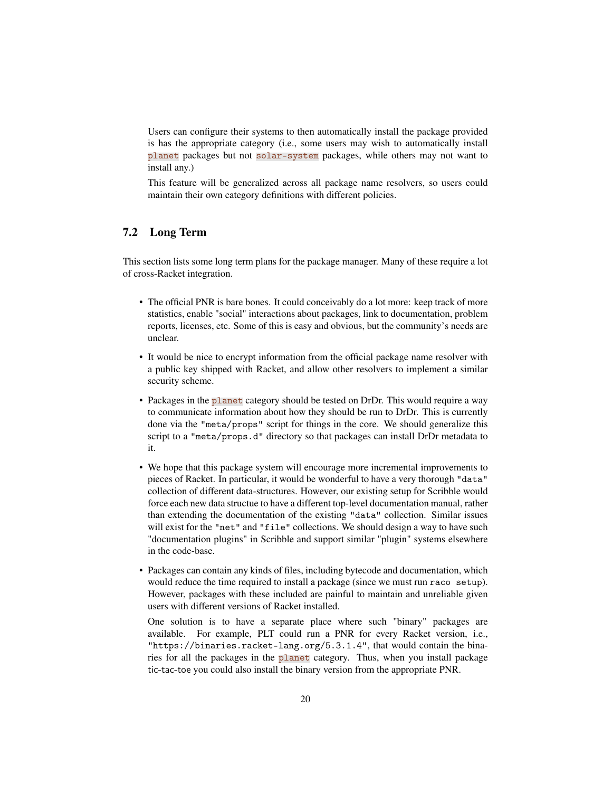Users can configure their systems to then automatically install the package provided is has the appropriate category (i.e., some users may wish to automatically install planet packages but not solar-system packages, while others may not want to install any.)

This feature will be generalized across all package name resolvers, so users could maintain their own category definitions with different policies.

#### <span id="page-19-0"></span>7.2 Long Term

This section lists some long term plans for the package manager. Many of these require a lot of cross-Racket integration.

- The official PNR is bare bones. It could conceivably do a lot more: keep track of more statistics, enable "social" interactions about packages, link to documentation, problem reports, licenses, etc. Some of this is easy and obvious, but the community's needs are unclear.
- It would be nice to encrypt information from the official package name resolver with a public key shipped with Racket, and allow other resolvers to implement a similar security scheme.
- Packages in the planet category should be tested on DrDr. This would require a way to communicate information about how they should be run to DrDr. This is currently done via the "meta/props" script for things in the core. We should generalize this script to a "meta/props.d" directory so that packages can install DrDr metadata to it.
- We hope that this package system will encourage more incremental improvements to pieces of Racket. In particular, it would be wonderful to have a very thorough "data" collection of different data-structures. However, our existing setup for Scribble would force each new data structue to have a different top-level documentation manual, rather than extending the documentation of the existing "data" collection. Similar issues will exist for the "net" and "file" collections. We should design a way to have such "documentation plugins" in Scribble and support similar "plugin" systems elsewhere in the code-base.
- Packages can contain any kinds of files, including bytecode and documentation, which would reduce the time required to install a package (since we must run raco setup). However, packages with these included are painful to maintain and unreliable given users with different versions of Racket installed.

One solution is to have a separate place where such "binary" packages are available. For example, PLT could run a PNR for every Racket version, i.e., "https://binaries.racket-lang.org/5.3.1.4", that would contain the binaries for all the packages in the planet category. Thus, when you install package tic-tac-toe you could also install the binary version from the appropriate PNR.